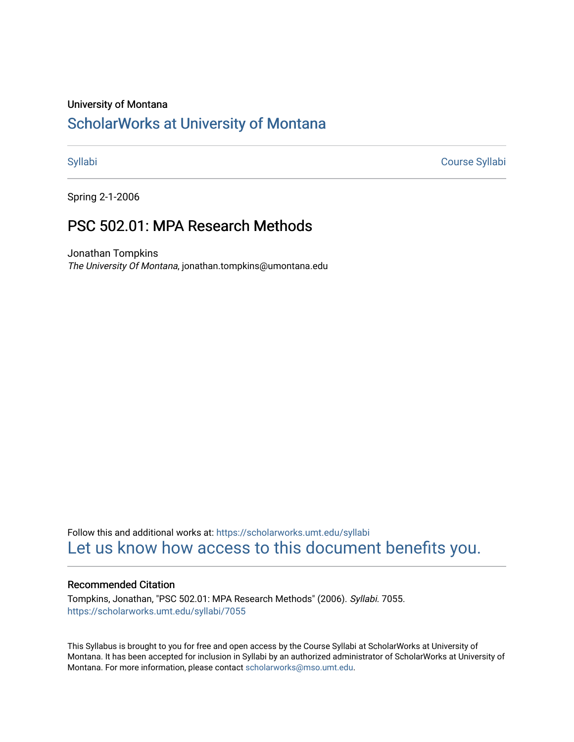#### University of Montana

# [ScholarWorks at University of Montana](https://scholarworks.umt.edu/)

[Syllabi](https://scholarworks.umt.edu/syllabi) [Course Syllabi](https://scholarworks.umt.edu/course_syllabi) 

Spring 2-1-2006

# PSC 502.01: MPA Research Methods

Jonathan Tompkins The University Of Montana, jonathan.tompkins@umontana.edu

Follow this and additional works at: [https://scholarworks.umt.edu/syllabi](https://scholarworks.umt.edu/syllabi?utm_source=scholarworks.umt.edu%2Fsyllabi%2F7055&utm_medium=PDF&utm_campaign=PDFCoverPages)  [Let us know how access to this document benefits you.](https://goo.gl/forms/s2rGfXOLzz71qgsB2) 

## Recommended Citation

Tompkins, Jonathan, "PSC 502.01: MPA Research Methods" (2006). Syllabi. 7055. [https://scholarworks.umt.edu/syllabi/7055](https://scholarworks.umt.edu/syllabi/7055?utm_source=scholarworks.umt.edu%2Fsyllabi%2F7055&utm_medium=PDF&utm_campaign=PDFCoverPages)

This Syllabus is brought to you for free and open access by the Course Syllabi at ScholarWorks at University of Montana. It has been accepted for inclusion in Syllabi by an authorized administrator of ScholarWorks at University of Montana. For more information, please contact [scholarworks@mso.umt.edu.](mailto:scholarworks@mso.umt.edu)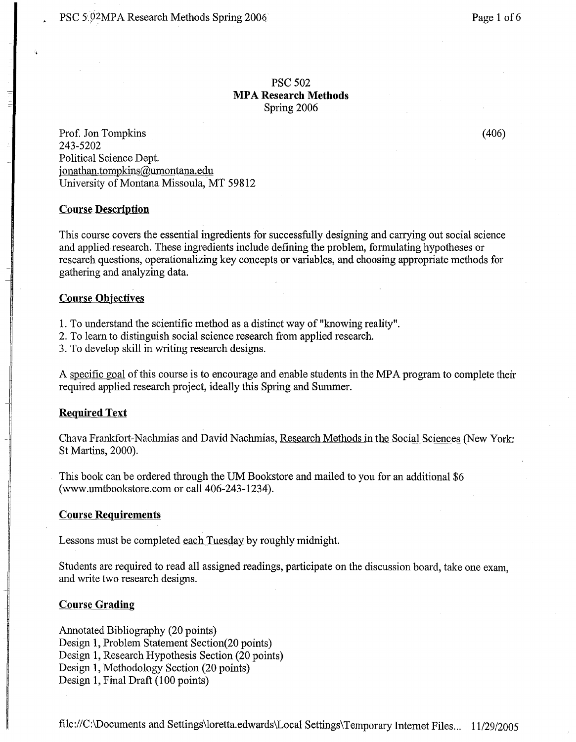# PSC 502 **MPA Research Methods**  Spring 2006

Prof. Jon Tompkins (406) 243-5202 Political Science Dept. jonathan.tompkins@umontana.edu University of Montana Missoula, MT 59812

### **Course Description**

This course covers the essential ingredients for successfully designing and carrying out social science and applied research. These ingredients include defining the problem, formulating hypotheses or research questions, operationalizing key concepts or variables, and choosing appropriate methods for gathering and analyzing data.

#### **Course Objectives**

1. To understand the scientific method as a distinct way of "knowing reality".

2. To learn to distinguish social science research from applied research.

3. To develop skill in writing research designs.

A specific goal of this course is to encourage and enable students in the MPA program to complete their required applied research project, ideally this Spring and Summer.

#### **Required Text**

Chava Frankfort-Nachmias and David Nachmias, Research Methods in the Social Sciences (New York: St Martins, 2000).

This book can be ordered through the UM Bookstore and mailed to you for an additional \$6 (www.umtbookstore.com or call 406-243-1234).

### **Course Requirements**

Lessons must be completed each Tuesday by roughly midnight.

Students are required to read all assigned readings, participate on the discussion board, take one exam, and write two research designs.

#### **Course Grading**

Annotated Bibliography (20 points) Design 1, Problem Statement Section(20 points) Design 1, Research Hypothesis Section (20 points) Design 1, Methodology Section (20 points) Design 1, Final Draft (100 points)

file://C:\Documents and Settings\loretta.edwards\Local Settings\ Temporary Internet Files... 11/29/2005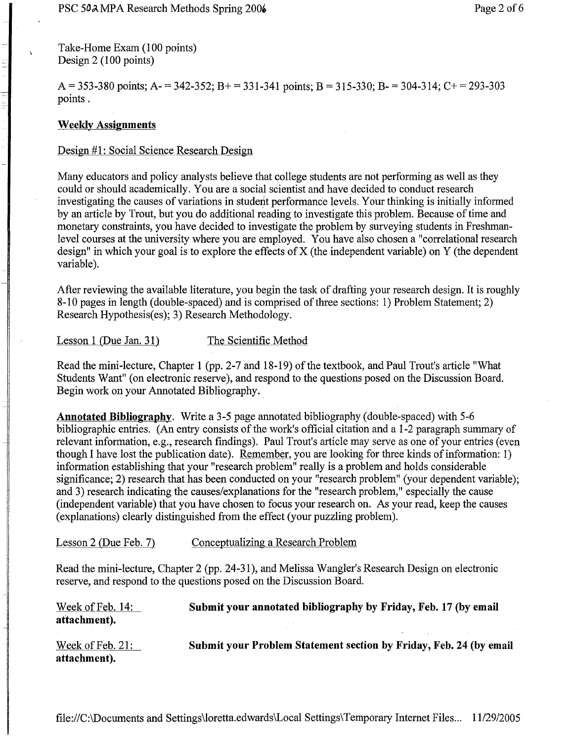Take-Home Exam (100 points) Design 2 (100 points)

A = 353-380 points; A- = 342-352; B+ = 331-341 points; B = 315-330; B- = 304-314; C+ = 293-303 points.

# **Weekly Assignments**

## Design #**1**: Social Science Research Design

Many educators and policy analysts believe that college students are not performing as well as they could or should academically. You are a social scientist and have decided to conduct research investigating the causes of variations in student performance levels. Your thinking is initially informed by an article by Trout, but you do additional reading to investigate this problem. Because of time and monetary constraints, you have decided to investigate the problem by surveying students in Freshrnanlevel courses at the university where you are employed. You have also chosen a "correlational research design" in which your goal is to explore the effects of X (the independent variable) on Y (the dependent variable).

After reviewing the available literature, you begin the task of drafting your research design. It is roughly 8-10 pages in length (double-spaced) and is comprised of three sections: 1) Problem Statement; 2) Research Hypothesis(es); 3) Research Methodology.

Lesson 1 (Due Jan. 31) The Scientific Method

Read the mini-lecture, Chapter 1 (pp. 2-7 and 18-19) of the textbook, and Paul Trout's article "What Students Want" (on electronic reserve), and respond to the questions posed on the Discussion Board. Begin work on your Annotated Bibliography.

**Annotated Bibliography.** Write a 3-5 page annotated bibliography (double-spaced) with 5-6 bibliographic entries. (An entry consists of the work's official citation and a 1-2 paragraph summary of relevant information, e.g., research findings). Paul Trout's article may serve as one of your entries (even though I have lost the publication date). Remember, you are looking for three kinds of information: 1) information establishing that your "research problem" really is a problem and holds considerable significance; 2) research that has been conducted on your "research problem" (your dependent variable); and 3) research indicating the causes/explanations for the "research problem," especially the cause (independent variable) that you have chosen to focus your research on. As your read, keep the causes (explanations) clearly distinguished from the effect (your puzzling problem).

Lesson 2 (Due Feb. 7) Conceptualizing a Research Problem

Read the mini-lecture, Chapter 2 (pp. 24-31), and Melissa Wangler's Research Design on electronic reserve, and respond to the questions posed on the Discussion Board.

| Week of Feb. 14:<br>attachment). | Submit your annotated bibliography by Friday, Feb. 17 (by email    |
|----------------------------------|--------------------------------------------------------------------|
| Week of Feb. 21:<br>attachment). | Submit your Problem Statement section by Friday, Feb. 24 (by email |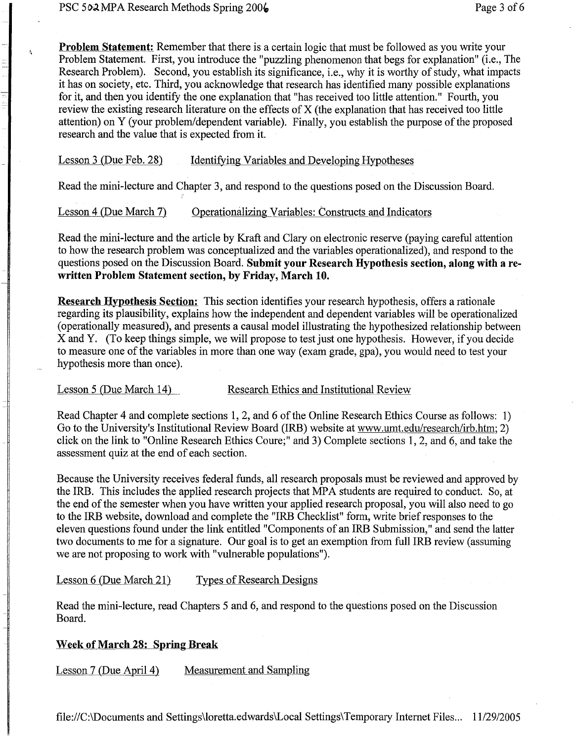$\lambda$ 

**Problem Statement:** Remember that there is a certain logic that must be followed as you write your Problem Statement. First, you introduce the "puzzling phenomenon that begs for explanation" (i.e., The Research Problem). Second, you establish its significance, i.e., why it is worthy of study, what impacts it has on society, etc. Third, you acknowledge that research has identified many possible explanations for it, and then you identify the one explanation that "has received too little attention." Fourth, you review the existing research literature on the effects of X (the explanation that has received too little attention) on Y (your problem/dependent variable). Finally, you establish the purpose of the proposed research and the value that is expected from it.

# Lesson 3 (Due Feb. 28) Identifying Variables and Developing Hypotheses

Read the mini-lecture and Chapter 3, and respond to the questions posed on the Discussion Board.

Lesson 4 (Due March 7) Operationalizing Variables: Constructs and Indicators

Read the mini-lecture and the article by Kraft and Clary on electronic reserve (paying careful attention to how the research problem was conceptualized and the variables operationalized), and respond to the questions posed on the Discussion Board. **Submit your Research Hypothesis section, along with a rewritten Problem Statement section, by Friday, March 10.** 

**Research Hypothesis Section:** This section identifies your research hypothesis, offers a rationale regarding its plausibility, explains how the independent and dependent variables will be operationalized (operationally measured), and presents a causal model illustrating the hypothesized relationship between X and Y. (To keep things simple, we will propose to test just one hypothesis. However, if you decide to measure one of the variables in more than one way (exam grade, gpa), you would need to test your hypothesis more than once).

### Lesson 5 (Due March 14) Research Ethics and Institutional Review

Read Chapter 4 and complete sections 1, 2, and 6 of the Online Research Ethics Course as follows: 1) Go to the University's Institutional Review Board (IRB) website at www.umt.edu/research/irb.htm; 2) click on the link to "Online Research Ethics Coure;" and 3) Complete sections 1, 2, and 6, and take the assessment quiz at the end of each section.

Because the University receives federal funds, all research proposals must be reviewed and approved by the IRB. This includes the applied research projects that MP A students are required to conduct. So, at the end of the semester when you have written your applied research proposal, you will also need to go to the IRB website, download and complete the "IRB Checklist" form, write brief responses to the eleven questions found under the link entitled "Components of an IRB Submission," and send the latter two documents to me for a signature. Our goal is to get an exemption from full IRB review (assuming we are not proposing to work with "vulnerable populations").

# Lesson 6 (Due March 21) Types of Research Designs

Read the mini-lecture, read Chapters 5 and 6, and respond to the questions posed on the Discussion Board.

# **Week of March 28: Spring Break**

Lesson 7 (Due April 4) Measurement and Sampling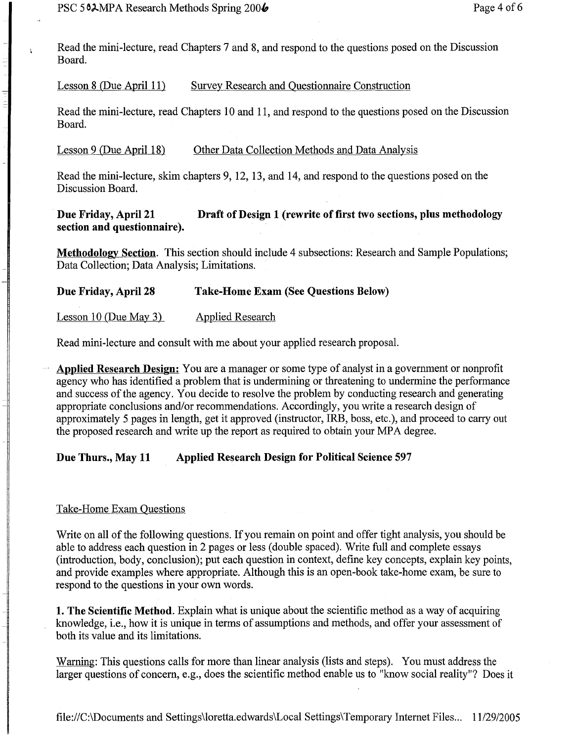$\mathbf{r}$ 

Read the mini-lecture, read Chapters 7 and 8, and respond to the questions posed on the Discussion Board.

Lesson 8 (Due April 11) Survey Research and Questionnaire Construction

Read the mini-lecture, read Chapters 10 and 11, and respond to the questions posed on the Discussion Board.

Lesson 9 (Due April 18) Other Data Collection Methods and Data Analysis

Read the mini-lecture, skim chapters 9, 12, 13, and 14, and respond to the questions posed on the Discussion Board.

Due Friday, April 21 Draft of Design 1 (rewrite of first two sections, plus methodology section and questionnaire).

Methodology Section. This section should include 4 subsections: Research and Sample Populations; Data Collection; Data Analysis; Limitations.

Due Friday, April 28 Take-Home Exam (See Questions Below)

Lesson 10 (Due May 3) Applied Research

Read mini-lecture and consult with me about your applied research proposal.

Applied Research Design: You are a manager or some type of analyst in a government or nonprofit agency who has identified a problem that is undermining or threatening to undermine the performance and success of the agency. You decide to resolve the problem by conducting research and generating appropriate conclusions and/or recommendations. Accordingly, you write a research design of approximately 5 pages in length, get it approved (instructor, IRB, boss, etc.), and proceed to carry out the proposed research and write up the report as required to obtain your MPA degree.

# Due Thurs., May 11 Applied Research Design for Political Science 597

# Take-Home Exam Questions

Write on all of the following questions. If you remain on point and offer tight analysis, you should be able to address each question in 2 pages or less (double spaced). Write full and complete essays (introduction, body, conclusion); put each question in context, define key concepts, explain key points, and provide examples where appropriate. Although this is an open-book take-home exam, be sure to respond to the questions in your own words.

1. The Scientific Method. Explain what is unique about the scientific method as a way of acquiring knowledge, i.e., how it is unique in terms of assumptions and methods, and offer your assessment of both its value and its limitations.

Warning: This questions calls for more than linear analysis (lists and steps). You must address the larger questions of concern, e.g., does the scientific method enable us to "know social reality"? Does it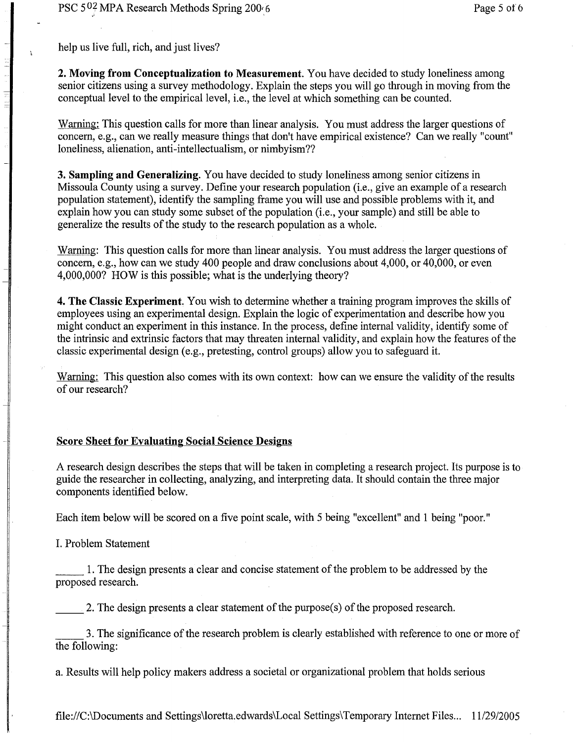help us live full, rich, and just lives?

用机制 三十类

**2. Moving from Conceptualization to Measurement.** You have decided to study loneliness among senior citizens using a survey methodology. Explain the steps you will go through in moving from the conceptual level to the empirical level, i.e., the level at which something can be counted.

Warning: This question calls for more than linear analysis. You must address the larger questions of concern, e.g., can we really measure things that don't have empirical existence? Can we really "count" loneliness, alienation, anti-intellectualism, or nimbyism??

**3. Sampling and Generalizing.** You have decided to study loneliness among senior citizens in Missoula County using a survey. Define your research population (i.e., give an example of a research population statement), identify the sampling frame you will use and possible problems with it, and explain how you can study some subset of the population (i.e., your sample) and still be able to generalize the results of the study to the research population as a whole.

Warning: This question calls for more than linear analysis. You must address the larger questions of concern, e.g., how can we study 400 people and draw conclusions about 4,000, or 40,000, or even 4,000,000? HOW is this possible; what is the underlying theory?

**4. The Classic Experiment**. You wish to determine whether a training program improves the skills of employees using an experimental design. Explain the logic of experimentation and describe how you might conduct an experiment in this instance. In the process, define internal validity, identify some of the intrinsic and extrinsic factors that may threaten internal validity, and explain how the features of the classic experimental design (e.g., pretesting, control groups) allow you to safeguard it.

Warning: This question also comes with its own context: how can we ensure the validity of the results of our research?

### **Score Sheet for Evaluating Social Science Designs**

A research design describes the steps that will be taken in completing a research project. Its purpose is to guide the researcher in collecting, analyzing, and interpreting data. It should contain the three major components identified below.

Each item below will be scored on a five point scale, with 5 being "excellent" and 1 being "poor."

I. Problem Statement

1. The design presents a clear and concise statement of the problem to be addressed by the proposed research.

2. The design presents a clear statement of the purpose(s) of the proposed research.

3. The significance of the research problem is clearly established with reference to one or more of the following:

a. Results will help policy makers address a societal or organizational problem that holds serious

file://C:\Documents and Settings\loretta.edwards\Local Settings\ Temporary Internet Files... 11/29/2005